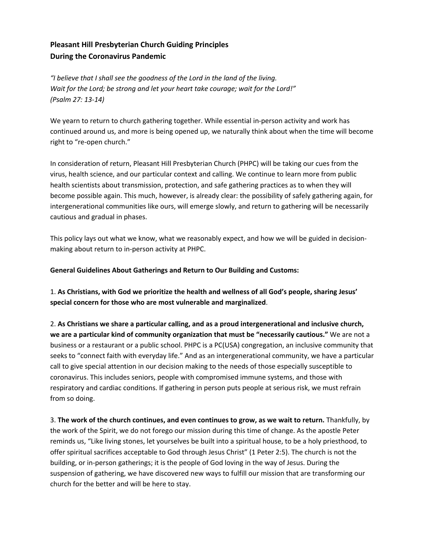# **Pleasant Hill Presbyterian Church Guiding Principles During the Coronavirus Pandemic**

*"I believe that I shall see the goodness of the Lord in the land of the living. Wait for the Lord; be strong and let your heart take courage; wait for the Lord!" (Psalm 27: 13-14)*

We yearn to return to church gathering together. While essential in-person activity and work has continued around us, and more is being opened up, we naturally think about when the time will become right to "re-open church."

In consideration of return, Pleasant Hill Presbyterian Church (PHPC) will be taking our cues from the virus, health science, and our particular context and calling. We continue to learn more from public health scientists about transmission, protection, and safe gathering practices as to when they will become possible again. This much, however, is already clear: the possibility of safely gathering again, for intergenerational communities like ours, will emerge slowly, and return to gathering will be necessarily cautious and gradual in phases.

This policy lays out what we know, what we reasonably expect, and how we will be guided in decisionmaking about return to in-person activity at PHPC.

**General Guidelines About Gatherings and Return to Our Building and Customs:** 

1. **As Christians, with God we prioritize the health and wellness of all God's people, sharing Jesus' special concern for those who are most vulnerable and marginalized**.

2. **As Christians we share a particular calling, and as a proud intergenerational and inclusive church, we are a particular kind of community organization that must be "necessarily cautious."** We are not a business or a restaurant or a public school. PHPC is a PC(USA) congregation, an inclusive community that seeks to "connect faith with everyday life." And as an intergenerational community, we have a particular call to give special attention in our decision making to the needs of those especially susceptible to coronavirus. This includes seniors, people with compromised immune systems, and those with respiratory and cardiac conditions. If gathering in person puts people at serious risk, we must refrain from so doing.

3. **The work of the church continues, and even continues to grow, as we wait to return.** Thankfully, by the work of the Spirit, we do not forego our mission during this time of change. As the apostle Peter reminds us, "Like living stones, let yourselves be built into a spiritual house, to be a holy priesthood, to offer spiritual sacrifices acceptable to God through Jesus Christ" (1 Peter 2:5). The church is not the building, or in-person gatherings; it is the people of God loving in the way of Jesus. During the suspension of gathering, we have discovered new ways to fulfill our mission that are transforming our church for the better and will be here to stay.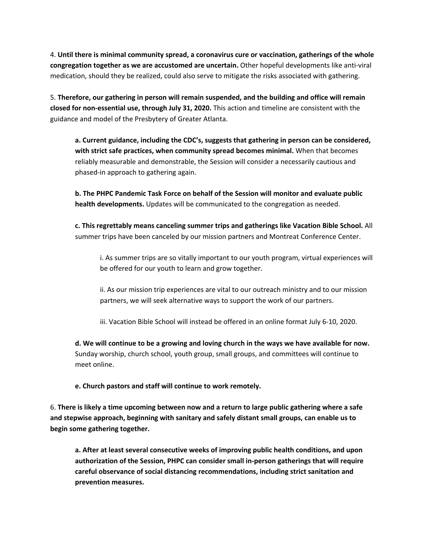4. **Until there is minimal community spread, a coronavirus cure or vaccination, gatherings of the whole congregation together as we are accustomed are uncertain.** Other hopeful developments like anti-viral medication, should they be realized, could also serve to mitigate the risks associated with gathering.

5. **Therefore, our gathering in person will remain suspended, and the building and office will remain closed for non-essential use, through July 31, 2020.** This action and timeline are consistent with the guidance and model of the Presbytery of Greater Atlanta.

**a. Current guidance, including the CDC's, suggests that gathering in person can be considered, with strict safe practices, when community spread becomes minimal.** When that becomes reliably measurable and demonstrable, the Session will consider a necessarily cautious and phased-in approach to gathering again.

**b. The PHPC Pandemic Task Force on behalf of the Session will monitor and evaluate public health developments.** Updates will be communicated to the congregation as needed.

**c. This regrettably means canceling summer trips and gatherings like Vacation Bible School.** All summer trips have been canceled by our mission partners and Montreat Conference Center.

i. As summer trips are so vitally important to our youth program, virtual experiences will be offered for our youth to learn and grow together.

ii. As our mission trip experiences are vital to our outreach ministry and to our mission partners, we will seek alternative ways to support the work of our partners.

iii. Vacation Bible School will instead be offered in an online format July 6-10, 2020.

**d. We will continue to be a growing and loving church in the ways we have available for now.**  Sunday worship, church school, youth group, small groups, and committees will continue to meet online.

**e. Church pastors and staff will continue to work remotely.** 

6. **There is likely a time upcoming between now and a return to large public gathering where a safe and stepwise approach, beginning with sanitary and safely distant small groups, can enable us to begin some gathering together.** 

**a. After at least several consecutive weeks of improving public health conditions, and upon authorization of the Session, PHPC can consider small in-person gatherings that will require careful observance of social distancing recommendations, including strict sanitation and prevention measures.**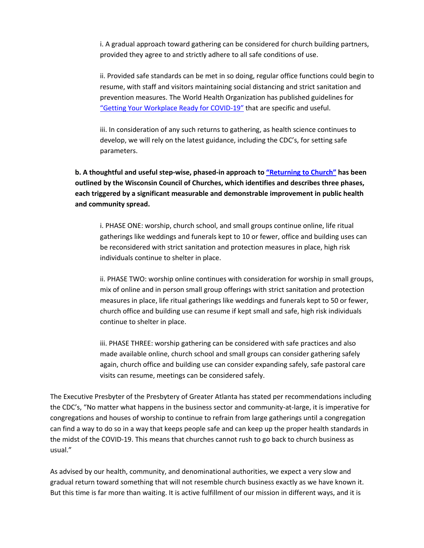i. A gradual approach toward gathering can be considered for church building partners, provided they agree to and strictly adhere to all safe conditions of use.

ii. Provided safe standards can be met in so doing, regular office functions could begin to resume, with staff and visitors maintaining social distancing and strict sanitation and prevention measures. The World Health Organization has published guidelines for "Getting Your Workplace Ready for COVID-19" that are specific and useful.

iii. In consideration of any such returns to gathering, as health science continues to develop, we will rely on the latest guidance, including the CDC's, for setting safe parameters.

**b. A thoughtful and useful step-wise, phased-in approach to "Returning to Church" has been outlined by the Wisconsin Council of Churches, which identifies and describes three phases, each triggered by a significant measurable and demonstrable improvement in public health and community spread.** 

i. PHASE ONE: worship, church school, and small groups continue online, life ritual gatherings like weddings and funerals kept to 10 or fewer, office and building uses can be reconsidered with strict sanitation and protection measures in place, high risk individuals continue to shelter in place.

ii. PHASE TWO: worship online continues with consideration for worship in small groups, mix of online and in person small group offerings with strict sanitation and protection measures in place, life ritual gatherings like weddings and funerals kept to 50 or fewer, church office and building use can resume if kept small and safe, high risk individuals continue to shelter in place.

iii. PHASE THREE: worship gathering can be considered with safe practices and also made available online, church school and small groups can consider gathering safely again, church office and building use can consider expanding safely, safe pastoral care visits can resume, meetings can be considered safely.

The Executive Presbyter of the Presbytery of Greater Atlanta has stated per recommendations including the CDC's, "No matter what happens in the business sector and community-at-large, it is imperative for congregations and houses of worship to continue to refrain from large gatherings until a congregation can find a way to do so in a way that keeps people safe and can keep up the proper health standards in the midst of the COVID-19. This means that churches cannot rush to go back to church business as usual."

As advised by our health, community, and denominational authorities, we expect a very slow and gradual return toward something that will not resemble church business exactly as we have known it. But this time is far more than waiting. It is active fulfillment of our mission in different ways, and it is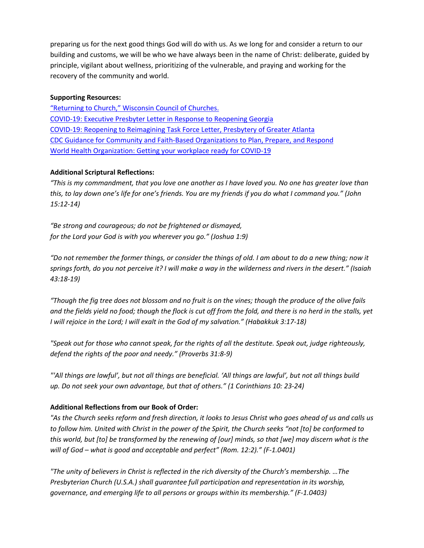preparing us for the next good things God will do with us. As we long for and consider a return to our building and customs, we will be who we have always been in the name of Christ: deliberate, guided by principle, vigilant about wellness, prioritizing of the vulnerable, and praying and working for the recovery of the community and world.

#### **Supporting Resources:**

"Returning to Church," Wisconsin Council of Churches. COVID-19: Executive Presbyter Letter in Response to Reopening Georgia COVID-19: Reopening to Reimagining Task Force Letter, Presbytery of Greater Atlanta CDC Guidance for Community and Faith-Based Organizations to Plan, Prepare, and Respond World Health Organization: Getting your workplace ready for COVID-19

### **Additional Scriptural Reflections:**

*"This is my commandment, that you love one another as I have loved you. No one has greater love than this, to lay down one's life for one's friends. You are my friends if you do what I command you." (John 15:12-14)* 

*"Be strong and courageous; do not be frightened or dismayed, for the Lord your God is with you wherever you go." (Joshua 1:9)*

*"Do not remember the former things, or consider the things of old. I am about to do a new thing; now it springs forth, do you not perceive it? I will make a way in the wilderness and rivers in the desert." (Isaiah 43:18-19)* 

*"Though the fig tree does not blossom and no fruit is on the vines; though the produce of the olive fails and the fields yield no food; though the flock is cut off from the fold, and there is no herd in the stalls, yet I will rejoice in the Lord; I will exalt in the God of my salvation." (Habakkuk 3:17-18)*

*"Speak out for those who cannot speak, for the rights of all the destitute. Speak out, judge righteously, defend the rights of the poor and needy." (Proverbs 31:8-9)*

*"'All things are lawful', but not all things are beneficial. 'All things are lawful', but not all things build up. Do not seek your own advantage, but that of others." (1 Corinthians 10: 23-24)*

## **Additional Reflections from our Book of Order:**

*"As the Church seeks reform and fresh direction, it looks to Jesus Christ who goes ahead of us and calls us to follow him. United with Christ in the power of the Spirit, the Church seeks "not [to] be conformed to this world, but [to] be transformed by the renewing of [our] minds, so that [we] may discern what is the will of God – what is good and acceptable and perfect" (Rom. 12:2)." (F-1.0401)*

*"The unity of believers in Christ is reflected in the rich diversity of the Church's membership. …The Presbyterian Church (U.S.A.) shall guarantee full participation and representation in its worship, governance, and emerging life to all persons or groups within its membership." (F-1.0403)*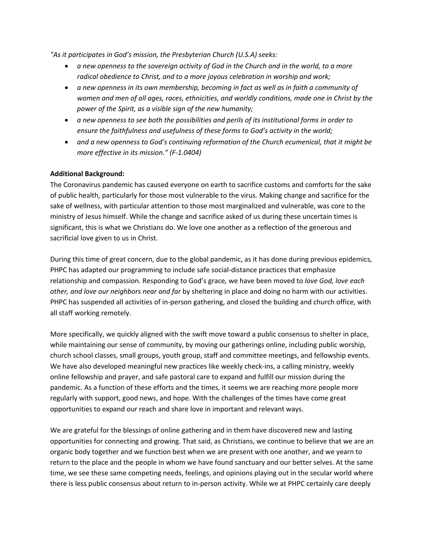*"As it participates in God's mission, the Presbyterian Church (U.S.A) seeks:*

- *a new openness to the sovereign activity of God in the Church and in the world, to a more radical obedience to Christ, and to a more joyous celebration in worship and work;*
- *a new openness in its own membership, becoming in fact as well as in faith a community of women and men of all ages, races, ethnicities, and worldly conditions, made one in Christ by the power of the Spirit, as a visible sign of the new humanity;*
- *a new openness to see both the possibilities and perils of its institutional forms in order to ensure the faithfulness and usefulness of these forms to God's activity in the world;*
- and a new openness to God's continuing reformation of the Church ecumenical, that it might be *more effective in its mission." (F-1.0404)*

### **Additional Background:**

The Coronavirus pandemic has caused everyone on earth to sacrifice customs and comforts for the sake of public health, particularly for those most vulnerable to the virus. Making change and sacrifice for the sake of wellness, with particular attention to those most marginalized and vulnerable, was core to the ministry of Jesus himself. While the change and sacrifice asked of us during these uncertain times is significant, this is what we Christians do. We love one another as a reflection of the generous and sacrificial love given to us in Christ.

During this time of great concern, due to the global pandemic, as it has done during previous epidemics, PHPC has adapted our programming to include safe social-distance practices that emphasize relationship and compassion*.* Responding to God's grace*,* we have been moved to *love God, love each other, and love our neighbors near and far* by sheltering in place and doing no harm with our activities. PHPC has suspended all activities of in-person gathering, and closed the building and church office, with all staff working remotely.

More specifically, we quickly aligned with the swift move toward a public consensus to shelter in place, while maintaining our sense of community, by moving our gatherings online, including public worship, church school classes, small groups, youth group, staff and committee meetings, and fellowship events. We have also developed meaningful new practices like weekly check-ins, a calling ministry, weekly online fellowship and prayer, and safe pastoral care to expand and fulfill our mission during the pandemic. As a function of these efforts and the times, it seems we are reaching more people more regularly with support, good news, and hope. With the challenges of the times have come great opportunities to expand our reach and share love in important and relevant ways.

We are grateful for the blessings of online gathering and in them have discovered new and lasting opportunities for connecting and growing. That said, as Christians, we continue to believe that we are an organic body together and we function best when we are present with one another, and we yearn to return to the place and the people in whom we have found sanctuary and our better selves. At the same time, we see these same competing needs, feelings, and opinions playing out in the secular world where there is less public consensus about return to in-person activity. While we at PHPC certainly care deeply